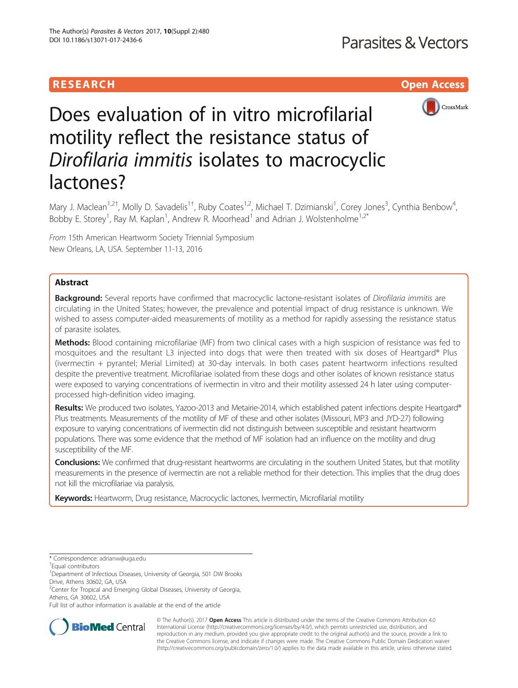# RESEARCH **RESEARCH CONSUMING THE CONSUMING THE CONSUMING THE CONSUMING TEAM CONSUMING THE CONSUMING TEAM OPEN Access**



# Does evaluation of in vitro microfilarial motility reflect the resistance status of Dirofilaria immitis isolates to macrocyclic lactones?

Mary J. Maclean<sup>1,2†</sup>, Molly D. Savadelis<sup>1†</sup>, Ruby Coates<sup>1,2</sup>, Michael T. Dzimianski<sup>1</sup>, Corey Jones<sup>3</sup>, Cynthia Benbow<sup>4</sup> , Bobby E. Storey<sup>1</sup>, Ray M. Kaplan<sup>1</sup>, Andrew R. Moorhead<sup>1</sup> and Adrian J. Wolstenholme<sup>1,2\*</sup>

From 15th American Heartworm Society Triennial Symposium New Orleans, LA, USA. September 11-13, 2016

# Abstract

Background: Several reports have confirmed that macrocyclic lactone-resistant isolates of Dirofilaria immitis are circulating in the United States; however, the prevalence and potential impact of drug resistance is unknown. We wished to assess computer-aided measurements of motility as a method for rapidly assessing the resistance status of parasite isolates.

Methods: Blood containing microfilariae (MF) from two clinical cases with a high suspicion of resistance was fed to mosquitoes and the resultant L3 injected into dogs that were then treated with six doses of Heartgard® Plus (ivermectin + pyrantel; Merial Limited) at 30-day intervals. In both cases patent heartworm infections resulted despite the preventive treatment. Microfilariae isolated from these dogs and other isolates of known resistance status were exposed to varying concentrations of ivermectin in vitro and their motility assessed 24 h later using computerprocessed high-definition video imaging.

Results: We produced two isolates, Yazoo-2013 and Metairie-2014, which established patent infections despite Heartgard® Plus treatments. Measurements of the motility of MF of these and other isolates (Missouri, MP3 and JYD-27) following exposure to varying concentrations of ivermectin did not distinguish between susceptible and resistant heartworm populations. There was some evidence that the method of MF isolation had an influence on the motility and drug susceptibility of the MF.

Conclusions: We confirmed that drug-resistant heartworms are circulating in the southern United States, but that motility measurements in the presence of ivermectin are not a reliable method for their detection. This implies that the drug does not kill the microfilariae via paralysis.

Keywords: Heartworm, Drug resistance, Macrocyclic lactones, Ivermectin, Microfilarial motility

Full list of author information is available at the end of the article



© The Author(s). 2017 **Open Access** This article is distributed under the terms of the Creative Commons Attribution 4.0 International License [\(http://creativecommons.org/licenses/by/4.0/](http://creativecommons.org/licenses/by/4.0/)), which permits unrestricted use, distribution, and reproduction in any medium, provided you give appropriate credit to the original author(s) and the source, provide a link to the Creative Commons license, and indicate if changes were made. The Creative Commons Public Domain Dedication waiver [\(http://creativecommons.org/publicdomain/zero/1.0/](http://creativecommons.org/publicdomain/zero/1.0/)) applies to the data made available in this article, unless otherwise stated.

<sup>\*</sup> Correspondence: [adrianw@uga.edu](mailto:adrianw@uga.edu) †

Equal contributors

<sup>&</sup>lt;sup>1</sup>Department of Infectious Diseases, University of Georgia, 501 DW Brooks Drive, Athens 30602, GA, USA

<sup>&</sup>lt;sup>2</sup> Center for Tropical and Emerging Global Diseases, University of Georgia, Athens, GA 30602, USA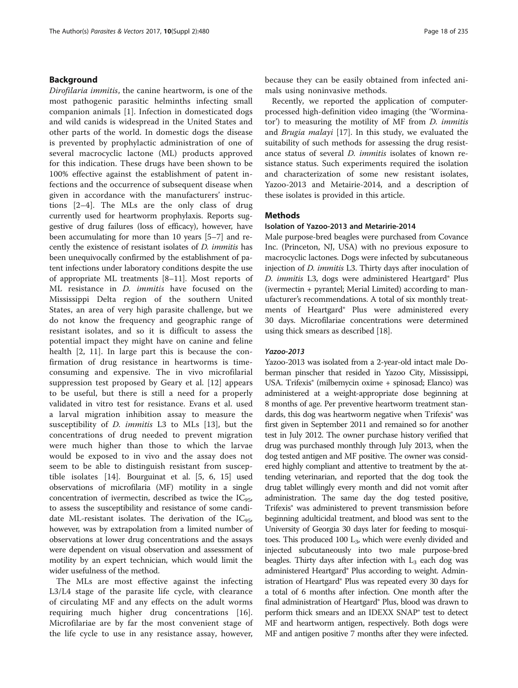# Background

Dirofilaria immitis, the canine heartworm, is one of the most pathogenic parasitic helminths infecting small companion animals [[1\]](#page-5-0). Infection in domesticated dogs and wild canids is widespread in the United States and other parts of the world. In domestic dogs the disease is prevented by prophylactic administration of one of several macrocyclic lactone (ML) products approved for this indication. These drugs have been shown to be 100% effective against the establishment of patent infections and the occurrence of subsequent disease when given in accordance with the manufacturers' instructions [\[2](#page-5-0)–[4](#page-5-0)]. The MLs are the only class of drug currently used for heartworm prophylaxis. Reports suggestive of drug failures (loss of efficacy), however, have been accumulating for more than 10 years [\[5](#page-5-0)–[7\]](#page-5-0) and recently the existence of resistant isolates of D. immitis has been unequivocally confirmed by the establishment of patent infections under laboratory conditions despite the use of appropriate ML treatments [\[8](#page-5-0)–[11\]](#page-5-0). Most reports of ML resistance in D. immitis have focused on the Mississippi Delta region of the southern United States, an area of very high parasite challenge, but we do not know the frequency and geographic range of resistant isolates, and so it is difficult to assess the potential impact they might have on canine and feline health [[2, 11\]](#page-5-0). In large part this is because the confirmation of drug resistance in heartworms is timeconsuming and expensive. The in vivo microfilarial suppression test proposed by Geary et al. [[12\]](#page-5-0) appears to be useful, but there is still a need for a properly validated in vitro test for resistance. Evans et al. used a larval migration inhibition assay to measure the susceptibility of D. immitis L3 to MLs [[13\]](#page-5-0), but the concentrations of drug needed to prevent migration were much higher than those to which the larvae would be exposed to in vivo and the assay does not seem to be able to distinguish resistant from susceptible isolates [\[14](#page-5-0)]. Bourguinat et al. [[5, 6](#page-5-0), [15](#page-5-0)] used observations of microfilaria (MF) motility in a single concentration of ivermectin, described as twice the  $IC_{95}$ , to assess the susceptibility and resistance of some candidate ML-resistant isolates. The derivation of the  $IC_{95}$ , however, was by extrapolation from a limited number of observations at lower drug concentrations and the assays were dependent on visual observation and assessment of motility by an expert technician, which would limit the wider usefulness of the method.

The MLs are most effective against the infecting L3/L4 stage of the parasite life cycle, with clearance of circulating MF and any effects on the adult worms requiring much higher drug concentrations [\[16](#page-5-0)]. Microfilariae are by far the most convenient stage of the life cycle to use in any resistance assay, however, because they can be easily obtained from infected animals using noninvasive methods.

Recently, we reported the application of computerprocessed high-definition video imaging (the 'Worminator') to measuring the motility of MF from D. immitis and Brugia malayi [\[17\]](#page-5-0). In this study, we evaluated the suitability of such methods for assessing the drug resistance status of several D. immitis isolates of known resistance status. Such experiments required the isolation and characterization of some new resistant isolates, Yazoo-2013 and Metairie-2014, and a description of these isolates is provided in this article.

# **Methods**

## Isolation of Yazoo-2013 and Metaririe-2014

Male purpose-bred beagles were purchased from Covance Inc. (Princeton, NJ, USA) with no previous exposure to macrocyclic lactones. Dogs were infected by subcutaneous injection of D. immitis L3. Thirty days after inoculation of D. immitis L3, dogs were administered Heartgard® Plus (ivermectin + pyrantel; Merial Limited) according to manufacturer's recommendations. A total of six monthly treatments of Heartgard® Plus were administered every 30 days. Microfilariae concentrations were determined using thick smears as described [\[18\]](#page-5-0).

# Yazoo-2013

Yazoo-2013 was isolated from a 2-year-old intact male Doberman pinscher that resided in Yazoo City, Mississippi, USA. Trifexis® (milbemycin oxime + spinosad; Elanco) was administered at a weight-appropriate dose beginning at 8 months of age. Per preventive heartworm treatment standards, this dog was heartworm negative when Trifexis® was first given in September 2011 and remained so for another test in July 2012. The owner purchase history verified that drug was purchased monthly through July 2013, when the dog tested antigen and MF positive. The owner was considered highly compliant and attentive to treatment by the attending veterinarian, and reported that the dog took the drug tablet willingly every month and did not vomit after administration. The same day the dog tested positive, Trifexis® was administered to prevent transmission before beginning adulticidal treatment, and blood was sent to the University of Georgia 30 days later for feeding to mosquitoes. This produced  $100$   $L_3$ , which were evenly divided and injected subcutaneously into two male purpose-bred beagles. Thirty days after infection with  $L_3$  each dog was administered Heartgard® Plus according to weight. Administration of Heartgard® Plus was repeated every 30 days for a total of 6 months after infection. One month after the final administration of Heartgard® Plus, blood was drawn to perform thick smears and an IDEXX SNAP® test to detect MF and heartworm antigen, respectively. Both dogs were MF and antigen positive 7 months after they were infected.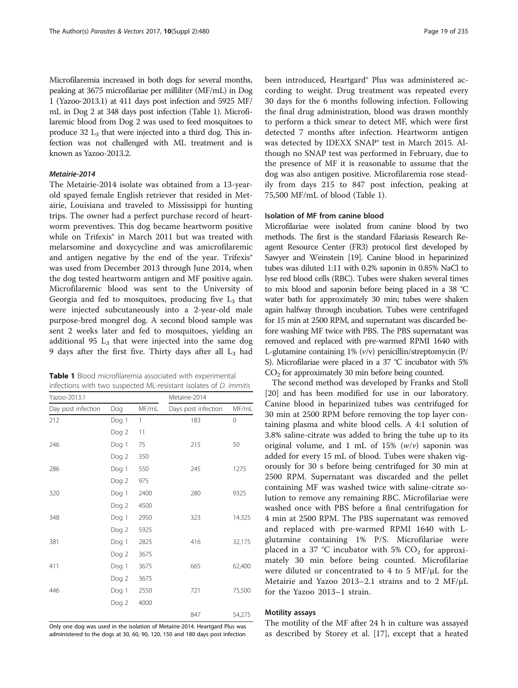Microfilaremia increased in both dogs for several months, peaking at 3675 microfilariae per milliliter (MF/mL) in Dog 1 (Yazoo-2013.1) at 411 days post infection and 5925 MF/ mL in Dog 2 at 348 days post infection (Table 1). Microfilaremic blood from Dog 2 was used to feed mosquitoes to produce 32  $L_3$  that were injected into a third dog. This infection was not challenged with ML treatment and is known as Yazoo-2013.2.

## Metairie-2014

The Metairie-2014 isolate was obtained from a 13-yearold spayed female English retriever that resided in Metairie, Louisiana and traveled to Mississippi for hunting trips. The owner had a perfect purchase record of heartworm preventives. This dog became heartworm positive while on Trifexis<sup>®</sup> in March 2011 but was treated with melarsomine and doxycycline and was amicrofilaremic and antigen negative by the end of the year. Trifexis® was used from December 2013 through June 2014, when the dog tested heartworm antigen and MF positive again. Microfilaremic blood was sent to the University of Georgia and fed to mosquitoes, producing five  $L_3$  that were injected subcutaneously into a 2-year-old male purpose-bred mongrel dog. A second blood sample was sent 2 weeks later and fed to mosquitoes, yielding an additional 95  $L_3$  that were injected into the same dog 9 days after the first five. Thirty days after all  $L_3$  had

Table 1 Blood microfilaremia associated with experimental infections with two suspected ML-resistant isolates of  $D$  immitistic

| Yazoo-2013.1       |       | Metairie-2014 |                     |        |  |
|--------------------|-------|---------------|---------------------|--------|--|
| Day post infection | Dog   | MF/mL         | Days post infection | MF/mL  |  |
| 212                | Dog 1 | 1             | 183                 | 0      |  |
|                    | Dog 2 | 11            |                     |        |  |
| 246                | Dog 1 | 75            | 215                 | 50     |  |
|                    | Dog 2 | 350           |                     |        |  |
| 286                | Dog 1 | 550           | 245                 | 1275   |  |
|                    | Dog 2 | 975           |                     |        |  |
| 320                | Dog 1 | 2400          | 280                 | 9325   |  |
|                    | Dog 2 | 4500          |                     |        |  |
| 348                | Dog 1 | 2950          | 323                 | 14,325 |  |
|                    | Dog 2 | 5925          |                     |        |  |
| 381                | Dog 1 | 2825          | 416                 | 32,175 |  |
|                    | Dog 2 | 3675          |                     |        |  |
| 411                | Dog 1 | 3675          | 665                 | 62,400 |  |
|                    | Dog 2 | 3675          |                     |        |  |
| 446                | Dog 1 | 2550          | 721                 | 75,500 |  |
|                    | Dog 2 | 4000          |                     |        |  |
|                    |       |               | 847                 | 54.275 |  |

Only one dog was used in the isolation of Metairie-2014. Heartgard Plus was administered to the dogs at 30, 60, 90, 120, 150 and 180 days post infection

been introduced, Heartgard® Plus was administered according to weight. Drug treatment was repeated every 30 days for the 6 months following infection. Following the final drug administration, blood was drawn monthly to perform a thick smear to detect MF, which were first detected 7 months after infection. Heartworm antigen was detected by IDEXX SNAP® test in March 2015. Although no SNAP test was performed in February, due to the presence of MF it is reasonable to assume that the dog was also antigen positive. Microfilaremia rose steadily from days 215 to 847 post infection, peaking at 75,500 MF/mL of blood (Table 1).

# Isolation of MF from canine blood

Microfilariae were isolated from canine blood by two methods. The first is the standard Filariasis Research Reagent Resource Center (FR3) protocol first developed by Sawyer and Weinstein [\[19\]](#page-5-0). Canine blood in heparinized tubes was diluted 1:11 with 0.2% saponin in 0.85% NaCl to lyse red blood cells (RBC). Tubes were shaken several times to mix blood and saponin before being placed in a 38 °C water bath for approximately 30 min; tubes were shaken again halfway through incubation. Tubes were centrifuged for 15 min at 2500 RPM, and supernatant was discarded before washing MF twice with PBS. The PBS supernatant was removed and replaced with pre-warmed RPMI 1640 with L-glutamine containing  $1\%$  ( $v/v$ ) penicillin/streptomycin (P/ S). Microfilariae were placed in a 37 °C incubator with 5%  $CO<sub>2</sub>$  for approximately 30 min before being counted.

The second method was developed by Franks and Stoll [[20\]](#page-5-0) and has been modified for use in our laboratory. Canine blood in heparinized tubes was centrifuged for 30 min at 2500 RPM before removing the top layer containing plasma and white blood cells. A 4:1 solution of 3.8% saline-citrate was added to bring the tube up to its original volume, and 1 mL of 15%  $(w/v)$  saponin was added for every 15 mL of blood. Tubes were shaken vigorously for 30 s before being centrifuged for 30 min at 2500 RPM. Supernatant was discarded and the pellet containing MF was washed twice with saline-citrate solution to remove any remaining RBC. Microfilariae were washed once with PBS before a final centrifugation for 4 min at 2500 RPM. The PBS supernatant was removed and replaced with pre-warmed RPMI 1640 with Lglutamine containing 1% P/S. Microfilariae were placed in a 37 °C incubator with 5%  $CO<sub>2</sub>$  for approximately 30 min before being counted. Microfilariae were diluted or concentrated to 4 to 5 MF/ $\mu$ L for the Metairie and Yazoo 2013–2.1 strains and to 2 MF/μL for the Yazoo 2013–1 strain.

# Motility assays

The motility of the MF after 24 h in culture was assayed as described by Storey et al. [[17](#page-5-0)], except that a heated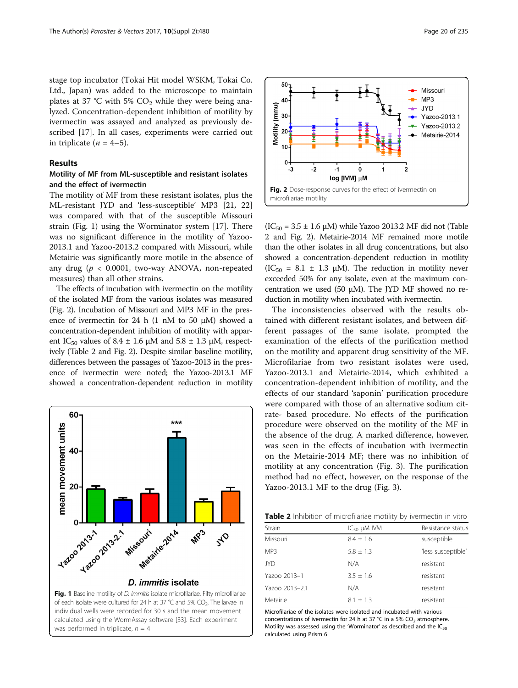stage top incubator (Tokai Hit model WSKM, Tokai Co. Ltd., Japan) was added to the microscope to maintain plates at 37 °C with 5%  $CO<sub>2</sub>$  while they were being analyzed. Concentration-dependent inhibition of motility by ivermectin was assayed and analyzed as previously described [\[17\]](#page-5-0). In all cases, experiments were carried out in triplicate ( $n = 4-5$ ).

# Results

# Motility of MF from ML-susceptible and resistant isolates and the effect of ivermectin

The motility of MF from these resistant isolates, plus the ML-resistant JYD and 'less-susceptible' MP3 [[21,](#page-5-0) [22](#page-6-0)] was compared with that of the susceptible Missouri strain (Fig. 1) using the Worminator system [[17](#page-5-0)]. There was no significant difference in the motility of Yazoo-2013.1 and Yazoo-2013.2 compared with Missouri, while Metairie was significantly more motile in the absence of any drug ( $p < 0.0001$ , two-way ANOVA, non-repeated measures) than all other strains.

The effects of incubation with ivermectin on the motility of the isolated MF from the various isolates was measured (Fig. 2). Incubation of Missouri and MP3 MF in the presence of ivermectin for 24 h (1 nM to 50  $\mu$ M) showed a concentration-dependent inhibition of motility with apparent IC<sub>50</sub> values of 8.4  $\pm$  1.6 μM and 5.8  $\pm$  1.3 μM, respectively (Table 2 and Fig. 2). Despite similar baseline motility, differences between the passages of Yazoo-2013 in the presence of ivermectin were noted; the Yazoo-2013.1 MF showed a concentration-dependent reduction in motility





 $(IC_{50} = 3.5 \pm 1.6 \,\mu M)$  while Yazoo 2013.2 MF did not (Table 2 and Fig. 2). Metairie-2014 MF remained more motile than the other isolates in all drug concentrations, but also showed a concentration-dependent reduction in motility  $(IC_{50} = 8.1 \pm 1.3 \mu M)$ . The reduction in motility never exceeded 50% for any isolate, even at the maximum concentration we used (50 μM). The JYD MF showed no reduction in motility when incubated with ivermectin.

The inconsistencies observed with the results obtained with different resistant isolates, and between different passages of the same isolate, prompted the examination of the effects of the purification method on the motility and apparent drug sensitivity of the MF. Microfilariae from two resistant isolates were used, Yazoo-2013.1 and Metairie-2014, which exhibited a concentration-dependent inhibition of motility, and the effects of our standard 'saponin' purification procedure were compared with those of an alternative sodium citrate- based procedure. No effects of the purification procedure were observed on the motility of the MF in the absence of the drug. A marked difference, however, was seen in the effects of incubation with ivermectin on the Metairie-2014 MF; there was no inhibition of motility at any concentration (Fig. [3](#page-4-0)). The purification method had no effect, however, on the response of the Yazoo-2013.1 MF to the drug (Fig. [3](#page-4-0)).

| Table 2 Inhibition of microfilariae motility by ivermectin in vitro |  |  |  |  |  |  |  |
|---------------------------------------------------------------------|--|--|--|--|--|--|--|
|---------------------------------------------------------------------|--|--|--|--|--|--|--|

| Strain         | $IC_{50}$ $µM$ IVM | Resistance status  |  |  |
|----------------|--------------------|--------------------|--|--|
| Missouri       | $8.4 + 1.6$        | susceptible        |  |  |
| MP3            | $5.8 \pm 1.3$      | 'less susceptible' |  |  |
| <b>JYD</b>     | N/A                | resistant          |  |  |
| Yazoo 2013-1   | $3.5 \pm 1.6$      | resistant          |  |  |
| Yazoo 2013-2.1 | N/A                | resistant          |  |  |
| Metairie       | $8.1 \pm 1.3$      | resistant          |  |  |

Microfilariae of the isolates were isolated and incubated with various concentrations of ivermectin for 24 h at 37 °C in a 5%  $CO<sub>2</sub>$  atmosphere. Motility was assessed using the 'Worminator' as described and the  $IC_{50}$ calculated using Prism 6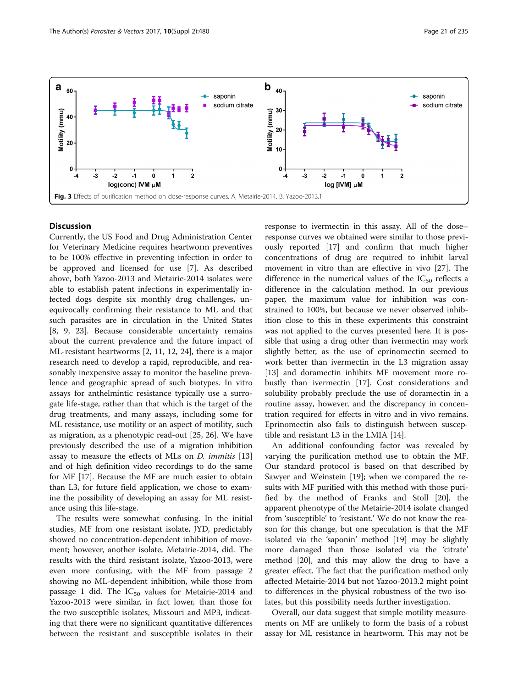<span id="page-4-0"></span>

# **Discussion**

Currently, the US Food and Drug Administration Center for Veterinary Medicine requires heartworm preventives to be 100% effective in preventing infection in order to be approved and licensed for use [\[7\]](#page-5-0). As described above, both Yazoo-2013 and Metairie-2014 isolates were able to establish patent infections in experimentally infected dogs despite six monthly drug challenges, unequivocally confirming their resistance to ML and that such parasites are in circulation in the United States [[8, 9](#page-5-0), [23\]](#page-6-0). Because considerable uncertainty remains about the current prevalence and the future impact of ML-resistant heartworms [\[2](#page-5-0), [11](#page-5-0), [12](#page-5-0), [24](#page-6-0)], there is a major research need to develop a rapid, reproducible, and reasonably inexpensive assay to monitor the baseline prevalence and geographic spread of such biotypes. In vitro assays for anthelmintic resistance typically use a surrogate life-stage, rather than that which is the target of the drug treatments, and many assays, including some for ML resistance, use motility or an aspect of motility, such as migration, as a phenotypic read-out [\[25](#page-6-0), [26](#page-6-0)]. We have previously described the use of a migration inhibition assay to measure the effects of MLs on D. immitis [[13](#page-5-0)] and of high definition video recordings to do the same for MF [\[17\]](#page-5-0). Because the MF are much easier to obtain than L3, for future field application, we chose to examine the possibility of developing an assay for ML resistance using this life-stage.

The results were somewhat confusing. In the initial studies, MF from one resistant isolate, JYD, predictably showed no concentration-dependent inhibition of movement; however, another isolate, Metairie-2014, did. The results with the third resistant isolate, Yazoo-2013, were even more confusing, with the MF from passage 2 showing no ML-dependent inhibition, while those from passage 1 did. The  $IC_{50}$  values for Metairie-2014 and Yazoo-2013 were similar, in fact lower, than those for the two susceptible isolates, Missouri and MP3, indicating that there were no significant quantitative differences between the resistant and susceptible isolates in their response to ivermectin in this assay. All of the dose– response curves we obtained were similar to those previously reported [[17\]](#page-5-0) and confirm that much higher concentrations of drug are required to inhibit larval movement in vitro than are effective in vivo [[27\]](#page-6-0). The difference in the numerical values of the  $IC_{50}$  reflects a difference in the calculation method. In our previous paper, the maximum value for inhibition was constrained to 100%, but because we never observed inhibition close to this in these experiments this constraint was not applied to the curves presented here. It is possible that using a drug other than ivermectin may work slightly better, as the use of eprinomectin seemed to work better than ivermectin in the L3 migration assay [[13\]](#page-5-0) and doramectin inhibits MF movement more robustly than ivermectin [\[17](#page-5-0)]. Cost considerations and solubility probably preclude the use of doramectin in a routine assay, however, and the discrepancy in concentration required for effects in vitro and in vivo remains. Eprinomectin also fails to distinguish between susceptible and resistant L3 in the LMIA [[14\]](#page-5-0).

An additional confounding factor was revealed by varying the purification method use to obtain the MF. Our standard protocol is based on that described by Sawyer and Weinstein [\[19\]](#page-5-0); when we compared the results with MF purified with this method with those purified by the method of Franks and Stoll [\[20](#page-5-0)], the apparent phenotype of the Metairie-2014 isolate changed from 'susceptible' to 'resistant.' We do not know the reason for this change, but one speculation is that the MF isolated via the 'saponin' method [\[19\]](#page-5-0) may be slightly more damaged than those isolated via the 'citrate' method [[20](#page-5-0)], and this may allow the drug to have a greater effect. The fact that the purification method only affected Metairie-2014 but not Yazoo-2013.2 might point to differences in the physical robustness of the two isolates, but this possibility needs further investigation.

Overall, our data suggest that simple motility measurements on MF are unlikely to form the basis of a robust assay for ML resistance in heartworm. This may not be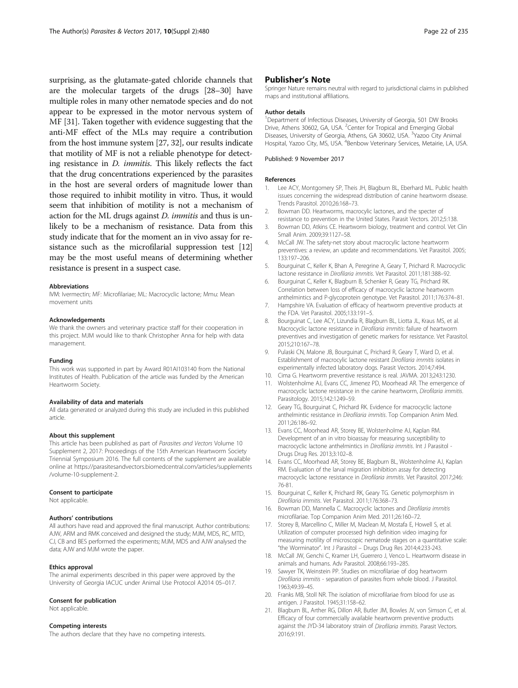<span id="page-5-0"></span>surprising, as the glutamate-gated chloride channels that are the molecular targets of the drugs [[28](#page-6-0)–[30\]](#page-6-0) have multiple roles in many other nematode species and do not appear to be expressed in the motor nervous system of MF [[31](#page-6-0)]. Taken together with evidence suggesting that the anti-MF effect of the MLs may require a contribution from the host immune system [\[27](#page-6-0), [32](#page-6-0)], our results indicate that motility of MF is not a reliable phenotype for detecting resistance in D. immitis. This likely reflects the fact that the drug concentrations experienced by the parasites in the host are several orders of magnitude lower than those required to inhibit motility in vitro. Thus, it would seem that inhibition of motility is not a mechanism of action for the ML drugs against D. immitis and thus is unlikely to be a mechanism of resistance. Data from this study indicate that for the moment an in vivo assay for resistance such as the microfilarial suppression test [12] may be the most useful means of determining whether resistance is present in a suspect case.

#### Abbreviations

IVM: Ivermectin; MF: Microfilariae; ML: Macrocyclic lactone; Mmu: Mean movement units

#### Acknowledgements

We thank the owners and veterinary practice staff for their cooperation in this project. MJM would like to thank Christopher Anna for help with data management.

#### Funding

This work was supported in part by Award R01AI103140 from the National Institutes of Health. Publication of the article was funded by the American Heartworm Society.

#### Availability of data and materials

All data generated or analyzed during this study are included in this published article.

#### About this supplement

This article has been published as part of Parasites and Vectors Volume 10 Supplement 2, 2017: Proceedings of the 15th American Heartworm Society Triennial Symposium 2016. The full contents of the supplement are available online at [https://parasitesandvectors.biomedcentral.com/articles/supplements](https://parasitesandvectors.biomedcentral.com/articles/supplements/volume-10-supplement-2) [/volume-10-supplement-2](https://parasitesandvectors.biomedcentral.com/articles/supplements/volume-10-supplement-2).

#### Consent to participate

Not applicable.

#### Authors' contributions

All authors have read and approved the final manuscript. Author contributions: AJW, ARM and RMK conceived and designed the study; MJM, MDS, RC, MTD, CJ, CB and BES performed the experiments; MJM, MDS and AJW analysed the data; AJW and MJM wrote the paper.

### Ethics approval

The animal experiments described in this paper were approved by the University of Georgia IACUC under Animal Use Protocol A2014 05–017.

#### Consent for publication

Not applicable.

#### Competing interests

The authors declare that they have no competing interests.

## Publisher's Note

Springer Nature remains neutral with regard to jurisdictional claims in published maps and institutional affiliations.

#### Author details

<sup>1</sup>Department of Infectious Diseases, University of Georgia, 501 DW Brooks Drive, Athens 30602, GA, USA. <sup>2</sup> Center for Tropical and Emerging Global Diseases, University of Georgia, Athens, GA 30602, USA. <sup>3</sup>Yazoo City Animal Hospital, Yazoo City, MS, USA. <sup>4</sup>Benbow Veterinary Services, Metairie, LA, USA

#### Published: 9 November 2017

#### References

- 1. Lee ACY, Montgomery SP, Theis JH, Blagburn BL, Eberhard ML. Public health issues concerning the widespread distribution of canine heartworm disease. Trends Parasitol. 2010;26:168–73.
- 2. Bowman DD. Heartworms, macrocylic lactones, and the specter of resistance to prevention in the United States. Parasit Vectors. 2012;5:138.
- 3. Bowman DD, Atkins CE. Heartworm biology, treatment and control. Vet Clin Small Anim. 2009;39:1127–58.
- 4. McCall JW. The safety-net story about macrocylic lactone heartworm preventives: a review, an update and recommendations. Vet Parasitol. 2005; 133:197–206.
- 5. Bourguinat C, Keller K, Bhan A, Peregrine A, Geary T, Prichard R. Macrocyclic lactone resistance in Dirofilaria immitis. Vet Parasitol. 2011;181:388–92.
- 6. Bourguinat C, Keller K, Blagburn B, Schenker R, Geary TG, Prichard RK. Correlation between loss of efficacy of macrocyclic lactone heartworm anthelmintics and P-glycoprotein genotype. Vet Parasitol. 2011;176:374–81.
- 7. Hampshire VA. Evaluation of efficacy of heartworm preventive products at the FDA. Vet Parasitol. 2005;133:191–5.
- 8. Bourguinat C, Lee ACY, Lizundia R, Blagburn BL, Liotta JL, Kraus MS, et al. Macrocyclic lactone resistance in Dirofilaria immitis: failure of heartworm preventives and investigation of genetic markers for resistance. Vet Parasitol. 2015;210:167–78.
- 9. Pulaski CN, Malone JB, Bourguinat C, Prichard R, Geary T, Ward D, et al. Establishment of macrocylic lactone resistant Dirofilaria immitis isolates in experimentally infected laboratory dogs. Parasit Vectors. 2014;7:494.
- 10. Cima G. Heartworm preventive resistance is real. JAVMA. 2013;243:1230.
- 11. Wolstenholme AJ, Evans CC, Jimenez PD, Moorhead AR. The emergence of macrocyclic lactone resistance in the canine heartworm, Dirofilaria immitis. Parasitology. 2015;142:1249–59.
- 12. Geary TG, Bourguinat C, Prichard RK. Evidence for macrocyclic lactone anthelmintic resistance in Dirofilaria immitis. Top Companion Anim Med. 2011;26:186–92.
- 13. Evans CC, Moorhead AR, Storey BE, Wolstenholme AJ, Kaplan RM. Development of an in vitro bioassay for measuring susceptibility to macrocyclic lactone anthelmintics in Dirofilaria immitis. Int J Parasitol - Drugs Drug Res. 2013;3:102–8.
- 14. Evans CC, Moorhead AR, Storey BE, Blagburn BL, Wolstenholme AJ, Kaplan RM. Evaluation of the larval migration inhibition assay for detecting macrocyclic lactone resistance in Dirofilaria immitis. Vet Parasitol. 2017;246: 76-81.
- 15. Bourguinat C, Keller K, Prichard RK, Geary TG. Genetic polymorphism in Dirofilaria immitis. Vet Parasitol. 2011;176:368–73.
- 16. Bowman DD, Mannella C. Macrocyclic lactones and Dirofilaria immitis microfilariae. Top Companion Anim Med. 2011;26:160–72.
- 17. Storey B, Marcellino C, Miller M, Maclean M, Mostafa E, Howell S, et al. Utilization of computer processed high definition video imaging for measuring motility of microscopic nematode stages on a quantitative scale: "the Worminator". Int J Parasitol – Drugs Drug Res 2014;4:233-243.
- 18. McCall JW, Genchi C, Kramer LH, Guerrero J, Venco L. Heartworm disease in animals and humans. Adv Parasitol. 2008;66:193–285.
- 19. Sawyer TK, Weinstein PP. Studies on microfilariae of dog heartworm Dirofilaria immitis - separation of parasites from whole blood. J Parasitol. 1963;49:39–45.
- 20. Franks MB, Stoll NR. The isolation of microfilariae from blood for use as antigen. J Parasitol. 1945;31:158–62.
- 21. Blagburn BL, Arther RG, Dillon AR, Butler JM, Bowles JV, von Simson C, et al. Efficacy of four commercially available heartworm preventive products against the JYD-34 laboratory strain of Dirofilaria immitis. Parasit Vectors. 2016;9:191.